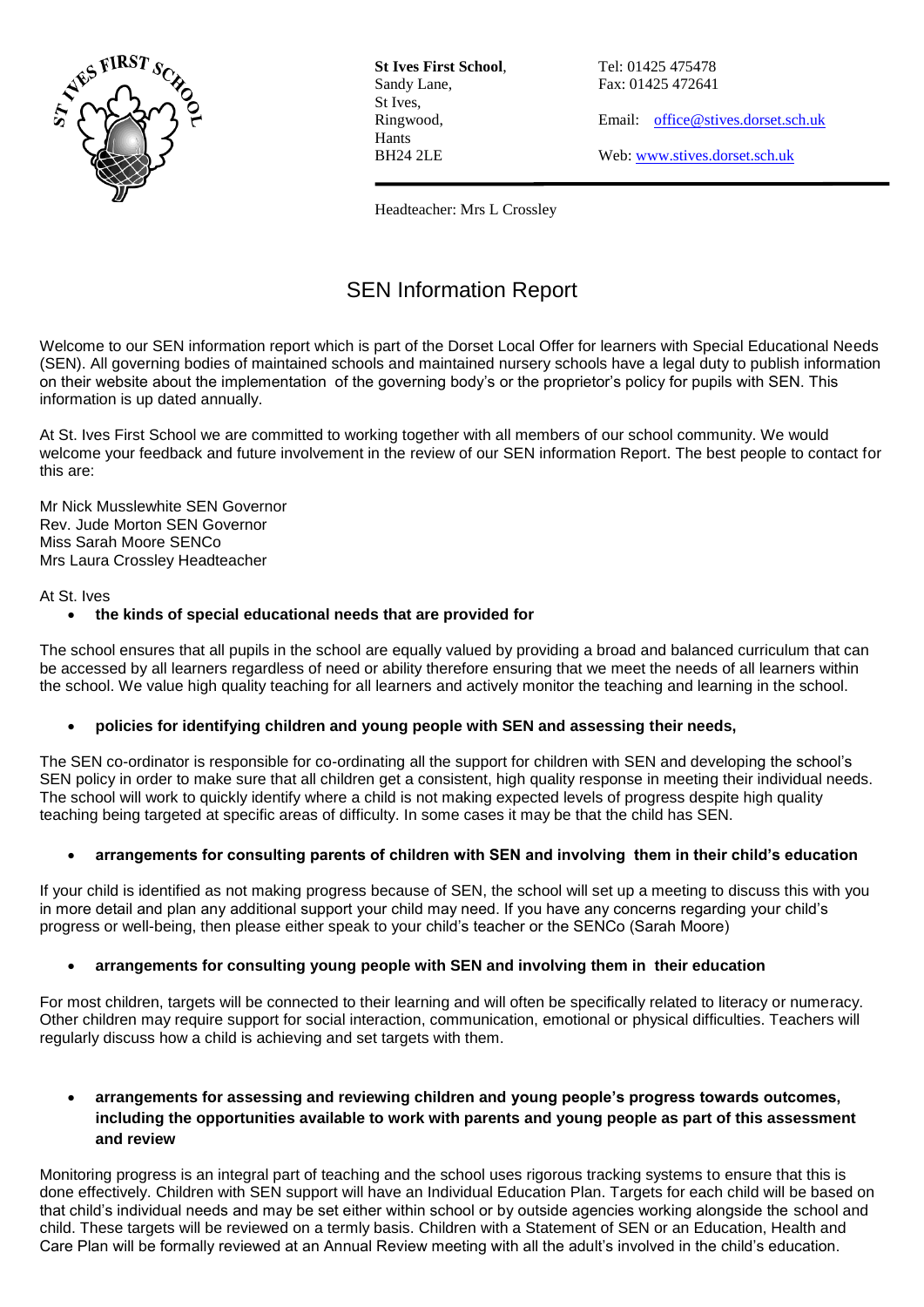

**St Ives First School**, Tel: 01425 475478 Sandy Lane, Fax: 01425 472641 St Ives, Hants

Ringwood, Email: [office@stives.dorset.sch.uk](mailto:office@stives.dorset.sch.uk)

BH24 2LE Web[: www.stives.dorset.sch.uk](http://www.stives.dorset.sch.uk/)

Headteacher: Mrs L Crossley

# SEN Information Report

Welcome to our SEN information report which is part of the Dorset Local Offer for learners with Special Educational Needs (SEN). All governing bodies of maintained schools and maintained nursery schools have a legal duty to publish information on their website about the implementation of the governing body's or the proprietor's policy for pupils with SEN. This information is up dated annually.

At St. Ives First School we are committed to working together with all members of our school community. We would welcome your feedback and future involvement in the review of our SEN information Report. The best people to contact for this are:

Mr Nick Musslewhite SEN Governor Rev. Jude Morton SEN Governor Miss Sarah Moore SENCo Mrs Laura Crossley Headteacher

#### At St. Ives

## **the kinds of special educational needs that are provided for**

The school ensures that all pupils in the school are equally valued by providing a broad and balanced curriculum that can be accessed by all learners regardless of need or ability therefore ensuring that we meet the needs of all learners within the school. We value high quality teaching for all learners and actively monitor the teaching and learning in the school.

## **policies for identifying children and young people with SEN and assessing their needs,**

The SEN co-ordinator is responsible for co-ordinating all the support for children with SEN and developing the school's SEN policy in order to make sure that all children get a consistent, high quality response in meeting their individual needs. The school will work to quickly identify where a child is not making expected levels of progress despite high quality teaching being targeted at specific areas of difficulty. In some cases it may be that the child has SEN.

## **arrangements for consulting parents of children with SEN and involving them in their child's education**

If your child is identified as not making progress because of SEN, the school will set up a meeting to discuss this with you in more detail and plan any additional support your child may need. If you have any concerns regarding your child's progress or well-being, then please either speak to your child's teacher or the SENCo (Sarah Moore)

## **arrangements for consulting young people with SEN and involving them in their education**

For most children, targets will be connected to their learning and will often be specifically related to literacy or numeracy. Other children may require support for social interaction, communication, emotional or physical difficulties. Teachers will regularly discuss how a child is achieving and set targets with them.

## **arrangements for assessing and reviewing children and young people's progress towards outcomes, including the opportunities available to work with parents and young people as part of this assessment and review**

Monitoring progress is an integral part of teaching and the school uses rigorous tracking systems to ensure that this is done effectively. Children with SEN support will have an Individual Education Plan. Targets for each child will be based on that child's individual needs and may be set either within school or by outside agencies working alongside the school and child. These targets will be reviewed on a termly basis. Children with a Statement of SEN or an Education, Health and Care Plan will be formally reviewed at an Annual Review meeting with all the adult's involved in the child's education.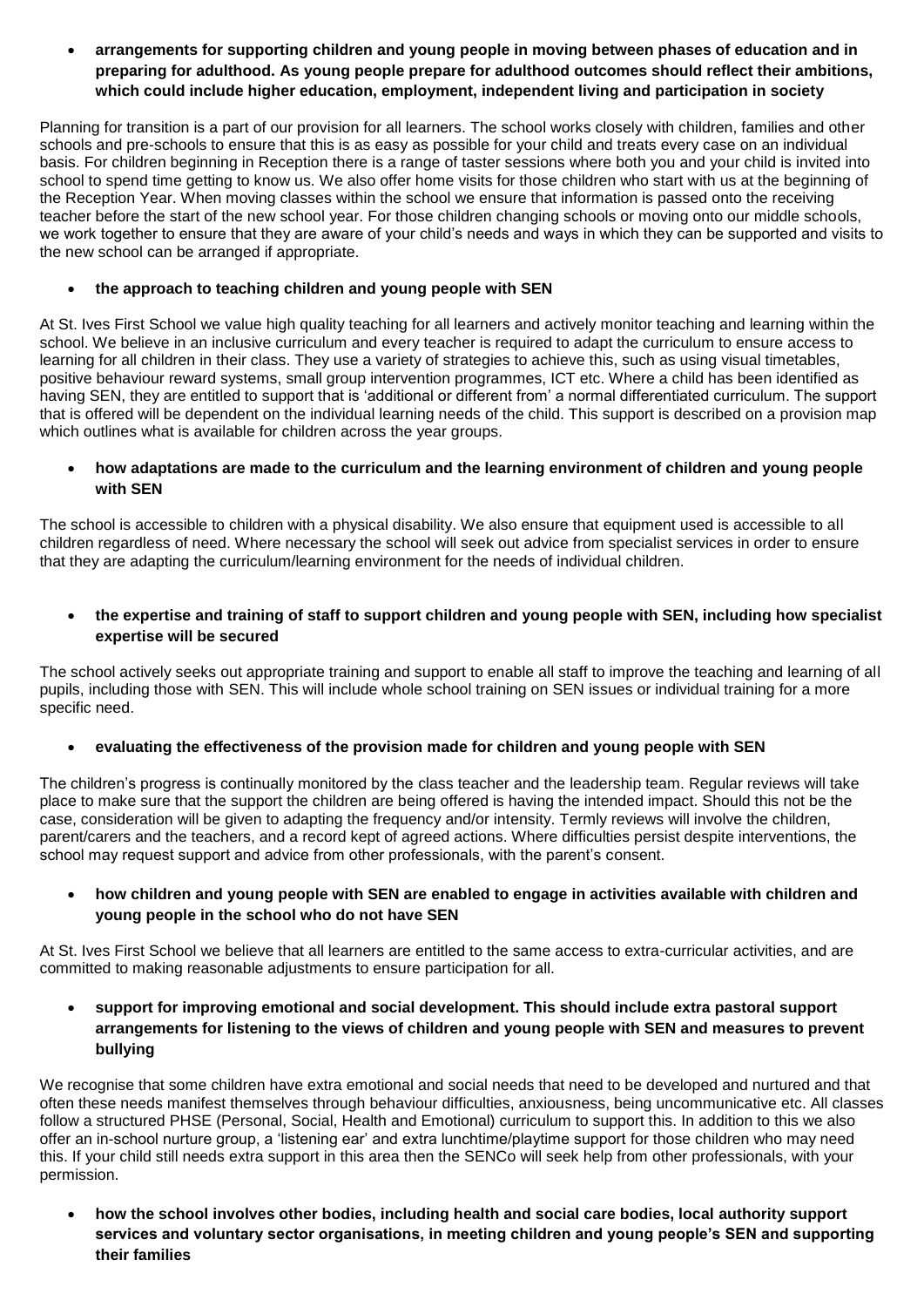**arrangements for supporting children and young people in moving between phases of education and in preparing for adulthood. As young people prepare for adulthood outcomes should reflect their ambitions, which could include higher education, employment, independent living and participation in society** 

Planning for transition is a part of our provision for all learners. The school works closely with children, families and other schools and pre-schools to ensure that this is as easy as possible for your child and treats every case on an individual basis. For children beginning in Reception there is a range of taster sessions where both you and your child is invited into school to spend time getting to know us. We also offer home visits for those children who start with us at the beginning of the Reception Year. When moving classes within the school we ensure that information is passed onto the receiving teacher before the start of the new school year. For those children changing schools or moving onto our middle schools, we work together to ensure that they are aware of your child's needs and ways in which they can be supported and visits to the new school can be arranged if appropriate.

## **the approach to teaching children and young people with SEN**

At St. Ives First School we value high quality teaching for all learners and actively monitor teaching and learning within the school. We believe in an inclusive curriculum and every teacher is required to adapt the curriculum to ensure access to learning for all children in their class. They use a variety of strategies to achieve this, such as using visual timetables, positive behaviour reward systems, small group intervention programmes, ICT etc. Where a child has been identified as having SEN, they are entitled to support that is 'additional or different from' a normal differentiated curriculum. The support that is offered will be dependent on the individual learning needs of the child. This support is described on a provision map which outlines what is available for children across the year groups.

# **how adaptations are made to the curriculum and the learning environment of children and young people with SEN**

The school is accessible to children with a physical disability. We also ensure that equipment used is accessible to all children regardless of need. Where necessary the school will seek out advice from specialist services in order to ensure that they are adapting the curriculum/learning environment for the needs of individual children.

# **the expertise and training of staff to support children and young people with SEN, including how specialist expertise will be secured**

The school actively seeks out appropriate training and support to enable all staff to improve the teaching and learning of all pupils, including those with SEN. This will include whole school training on SEN issues or individual training for a more specific need.

## **evaluating the effectiveness of the provision made for children and young people with SEN**

The children's progress is continually monitored by the class teacher and the leadership team. Regular reviews will take place to make sure that the support the children are being offered is having the intended impact. Should this not be the case, consideration will be given to adapting the frequency and/or intensity. Termly reviews will involve the children, parent/carers and the teachers, and a record kept of agreed actions. Where difficulties persist despite interventions, the school may request support and advice from other professionals, with the parent's consent.

# **how children and young people with SEN are enabled to engage in activities available with children and young people in the school who do not have SEN**

At St. Ives First School we believe that all learners are entitled to the same access to extra-curricular activities, and are committed to making reasonable adjustments to ensure participation for all.

 **support for improving emotional and social development. This should include extra pastoral support arrangements for listening to the views of children and young people with SEN and measures to prevent bullying** 

We recognise that some children have extra emotional and social needs that need to be developed and nurtured and that often these needs manifest themselves through behaviour difficulties, anxiousness, being uncommunicative etc. All classes follow a structured PHSE (Personal, Social, Health and Emotional) curriculum to support this. In addition to this we also offer an in-school nurture group, a 'listening ear' and extra lunchtime/playtime support for those children who may need this. If your child still needs extra support in this area then the SENCo will seek help from other professionals, with your permission.

 **how the school involves other bodies, including health and social care bodies, local authority support services and voluntary sector organisations, in meeting children and young people's SEN and supporting their families**